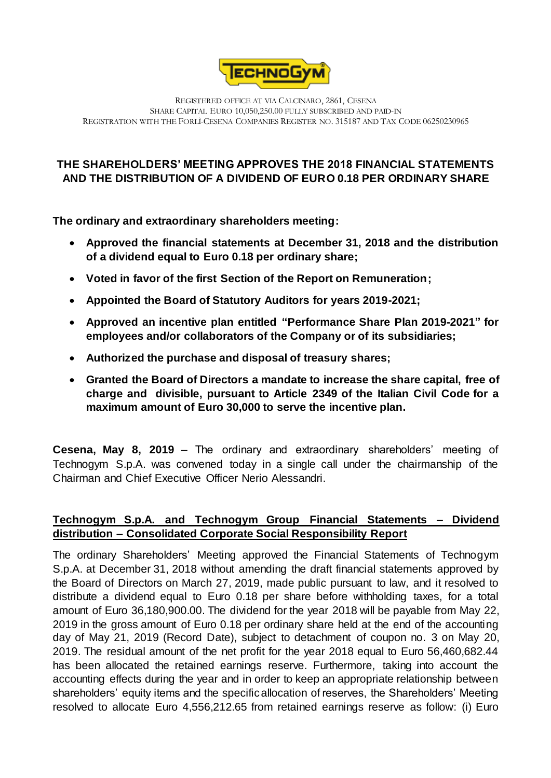

REGISTERED OFFICE AT VIA CALCINARO, 2861, CESENA SHARE CAPITAL EURO 10,050,250.00 FULLY SUBSCRIBED AND PAID-IN REGISTRATION WITH THE FORLÌ-CESENA COMPANIES REGISTER NO. 315187 AND TAX CODE 06250230965

## **THE SHAREHOLDERS' MEETING APPROVES THE 2018 FINANCIAL STATEMENTS AND THE DISTRIBUTION OF A DIVIDEND OF EURO 0.18 PER ORDINARY SHARE**

**The ordinary and extraordinary shareholders meeting:**

- **Approved the financial statements at December 31, 2018 and the distribution of a dividend equal to Euro 0.18 per ordinary share;**
- **Voted in favor of the first Section of the Report on Remuneration;**
- **Appointed the Board of Statutory Auditors for years 2019-2021;**
- **Approved an incentive plan entitled "Performance Share Plan 2019-2021" for employees and/or collaborators of the Company or of its subsidiaries;**
- **Authorized the purchase and disposal of treasury shares;**
- **Granted the Board of Directors a mandate to increase the share capital, free of charge and divisible, pursuant to Article 2349 of the Italian Civil Code for a maximum amount of Euro 30,000 to serve the incentive plan.**

**Cesena, May 8, 2019** – The ordinary and extraordinary shareholders' meeting of Technogym S.p.A. was convened today in a single call under the chairmanship of the Chairman and Chief Executive Officer Nerio Alessandri.

## **Technogym S.p.A. and Technogym Group Financial Statements – Dividend distribution – Consolidated Corporate Social Responsibility Report**

The ordinary Shareholders' Meeting approved the Financial Statements of Technogym S.p.A. at December 31, 2018 without amending the draft financial statements approved by the Board of Directors on March 27, 2019, made public pursuant to law, and it resolved to distribute a dividend equal to Euro 0.18 per share before withholding taxes, for a total amount of Euro 36,180,900.00. The dividend for the year 2018 will be payable from May 22, 2019 in the gross amount of Euro 0.18 per ordinary share held at the end of the accounting day of May 21, 2019 (Record Date), subject to detachment of coupon no. 3 on May 20, 2019. The residual amount of the net profit for the year 2018 equal to Euro 56,460,682.44 has been allocated the retained earnings reserve. Furthermore, taking into account the accounting effects during the year and in order to keep an appropriate relationship between shareholders' equity items and the specific allocation of reserves, the Shareholders' Meeting resolved to allocate Euro 4,556,212.65 from retained earnings reserve as follow: (i) Euro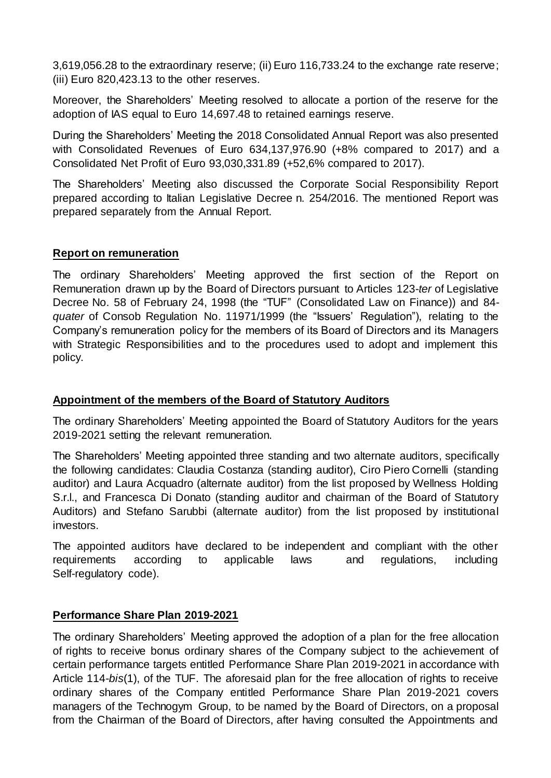3,619,056.28 to the extraordinary reserve; (ii) Euro 116,733.24 to the exchange rate reserve; (iii) Euro 820,423.13 to the other reserves.

Moreover, the Shareholders' Meeting resolved to allocate a portion of the reserve for the adoption of IAS equal to Euro 14,697.48 to retained earnings reserve.

During the Shareholders' Meeting the 2018 Consolidated Annual Report was also presented with Consolidated Revenues of Euro 634,137,976.90 (+8% compared to 2017) and a Consolidated Net Profit of Euro 93,030,331.89 (+52,6% compared to 2017).

The Shareholders' Meeting also discussed the Corporate Social Responsibility Report prepared according to Italian Legislative Decree n. 254/2016. The mentioned Report was prepared separately from the Annual Report.

#### **Report on remuneration**

The ordinary Shareholders' Meeting approved the first section of the Report on Remuneration drawn up by the Board of Directors pursuant to Articles 123-*ter* of Legislative Decree No. 58 of February 24, 1998 (the "TUF" (Consolidated Law on Finance)) and 84 *quater* of Consob Regulation No. 11971/1999 (the "Issuers' Regulation"), relating to the Company's remuneration policy for the members of its Board of Directors and its Managers with Strategic Responsibilities and to the procedures used to adopt and implement this policy.

#### **Appointment of the members of the Board of Statutory Auditors**

The ordinary Shareholders' Meeting appointed the Board of Statutory Auditors for the years 2019-2021 setting the relevant remuneration.

The Shareholders' Meeting appointed three standing and two alternate auditors, specifically the following candidates: Claudia Costanza (standing auditor), Ciro Piero Cornelli (standing auditor) and Laura Acquadro (alternate auditor) from the list proposed by Wellness Holding S.r.l., and Francesca Di Donato (standing auditor and chairman of the Board of Statutory Auditors) and Stefano Sarubbi (alternate auditor) from the list proposed by institutional investors.

The appointed auditors have declared to be independent and compliant with the other requirements according to applicable laws and regulations, including Self-regulatory code).

#### **Performance Share Plan 2019-2021**

The ordinary Shareholders' Meeting approved the adoption of a plan for the free allocation of rights to receive bonus ordinary shares of the Company subject to the achievement of certain performance targets entitled Performance Share Plan 2019-2021 in accordance with Article 114-*bis*(1), of the TUF. The aforesaid plan for the free allocation of rights to receive ordinary shares of the Company entitled Performance Share Plan 2019-2021 covers managers of the Technogym Group, to be named by the Board of Directors, on a proposal from the Chairman of the Board of Directors, after having consulted the Appointments and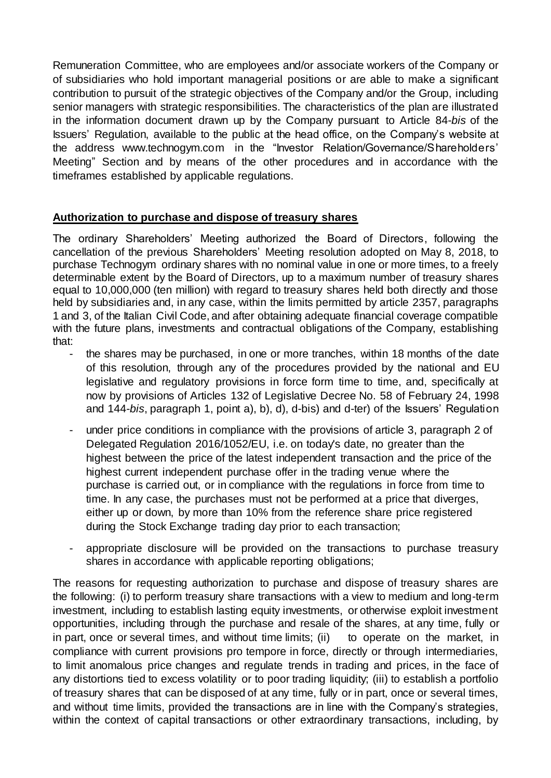Remuneration Committee, who are employees and/or associate workers of the Company or of subsidiaries who hold important managerial positions or are able to make a significant contribution to pursuit of the strategic objectives of the Company and/or the Group, including senior managers with strategic responsibilities. The characteristics of the plan are illustrated in the information document drawn up by the Company pursuant to Article 84-*bis* of the Issuers' Regulation, available to the public at the head office, on the Company's website at the address www.technogym.com in the "Investor Relation/Governance/Shareholders' Meeting" Section and by means of the other procedures and in accordance with the timeframes established by applicable regulations.

## **Authorization to purchase and dispose of treasury shares**

The ordinary Shareholders' Meeting authorized the Board of Directors, following the cancellation of the previous Shareholders' Meeting resolution adopted on May 8, 2018, to purchase Technogym ordinary shares with no nominal value in one or more times, to a freely determinable extent by the Board of Directors, up to a maximum number of treasury shares equal to 10,000,000 (ten million) with regard to treasury shares held both directly and those held by subsidiaries and, in any case, within the limits permitted by article 2357, paragraphs 1 and 3, of the Italian Civil Code, and after obtaining adequate financial coverage compatible with the future plans, investments and contractual obligations of the Company, establishing that:

- the shares may be purchased, in one or more tranches, within 18 months of the date of this resolution, through any of the procedures provided by the national and EU legislative and regulatory provisions in force form time to time, and, specifically at now by provisions of Articles 132 of Legislative Decree No. 58 of February 24, 1998 and 144-*bis*, paragraph 1, point a), b), d), d-bis) and d-ter) of the Issuers' Regulation
- under price conditions in compliance with the provisions of article 3, paragraph 2 of Delegated Regulation 2016/1052/EU, i.e. on today's date, no greater than the highest between the price of the latest independent transaction and the price of the highest current independent purchase offer in the trading venue where the purchase is carried out, or in compliance with the regulations in force from time to time. In any case, the purchases must not be performed at a price that diverges, either up or down, by more than 10% from the reference share price registered during the Stock Exchange trading day prior to each transaction;
- appropriate disclosure will be provided on the transactions to purchase treasury shares in accordance with applicable reporting obligations;

The reasons for requesting authorization to purchase and dispose of treasury shares are the following: (i) to perform treasury share transactions with a view to medium and long-term investment, including to establish lasting equity investments, or otherwise exploit investment opportunities, including through the purchase and resale of the shares, at any time, fully or in part, once or several times, and without time limits; (ii) to operate on the market, in compliance with current provisions pro tempore in force, directly or through intermediaries, to limit anomalous price changes and regulate trends in trading and prices, in the face of any distortions tied to excess volatility or to poor trading liquidity; (iii) to establish a portfolio of treasury shares that can be disposed of at any time, fully or in part, once or several times, and without time limits, provided the transactions are in line with the Company's strategies, within the context of capital transactions or other extraordinary transactions, including, by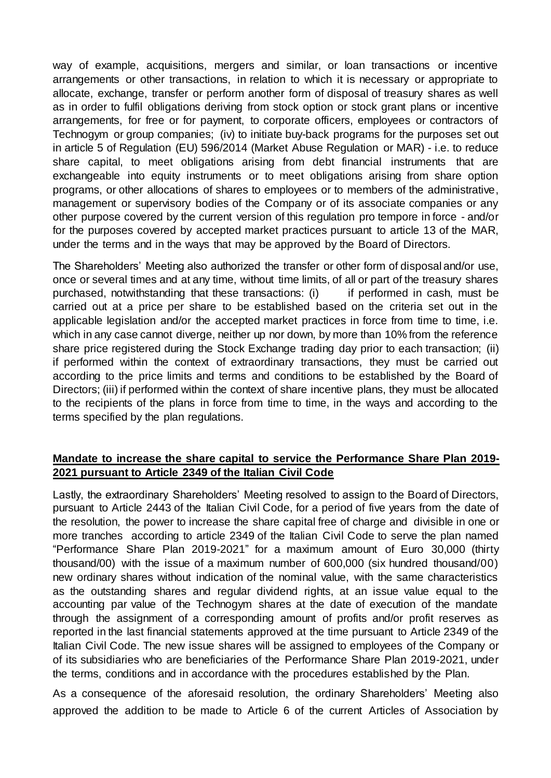way of example, acquisitions, mergers and similar, or loan transactions or incentive arrangements or other transactions, in relation to which it is necessary or appropriate to allocate, exchange, transfer or perform another form of disposal of treasury shares as well as in order to fulfil obligations deriving from stock option or stock grant plans or incentive arrangements, for free or for payment, to corporate officers, employees or contractors of Technogym or group companies; (iv) to initiate buy-back programs for the purposes set out in article 5 of Regulation (EU) 596/2014 (Market Abuse Regulation or MAR) - i.e. to reduce share capital, to meet obligations arising from debt financial instruments that are exchangeable into equity instruments or to meet obligations arising from share option programs, or other allocations of shares to employees or to members of the administrative, management or supervisory bodies of the Company or of its associate companies or any other purpose covered by the current version of this regulation pro tempore in force - and/or for the purposes covered by accepted market practices pursuant to article 13 of the MAR, under the terms and in the ways that may be approved by the Board of Directors.

The Shareholders' Meeting also authorized the transfer or other form of disposal and/or use, once or several times and at any time, without time limits, of all or part of the treasury shares purchased, notwithstanding that these transactions: (i) if performed in cash, must be carried out at a price per share to be established based on the criteria set out in the applicable legislation and/or the accepted market practices in force from time to time, i.e. which in any case cannot diverge, neither up nor down, by more than 10% from the reference share price registered during the Stock Exchange trading day prior to each transaction; (ii) if performed within the context of extraordinary transactions, they must be carried out according to the price limits and terms and conditions to be established by the Board of Directors; (iii) if performed within the context of share incentive plans, they must be allocated to the recipients of the plans in force from time to time, in the ways and according to the terms specified by the plan regulations.

## **Mandate to increase the share capital to service the Performance Share Plan 2019- 2021 pursuant to Article 2349 of the Italian Civil Code**

Lastly, the extraordinary Shareholders' Meeting resolved to assign to the Board of Directors, pursuant to Article 2443 of the Italian Civil Code, for a period of five years from the date of the resolution, the power to increase the share capital free of charge and divisible in one or more tranches according to article 2349 of the Italian Civil Code to serve the plan named "Performance Share Plan 2019-2021" for a maximum amount of Euro 30,000 (thirty thousand/00) with the issue of a maximum number of 600,000 (six hundred thousand/00) new ordinary shares without indication of the nominal value, with the same characteristics as the outstanding shares and regular dividend rights, at an issue value equal to the accounting par value of the Technogym shares at the date of execution of the mandate through the assignment of a corresponding amount of profits and/or profit reserves as reported in the last financial statements approved at the time pursuant to Article 2349 of the Italian Civil Code. The new issue shares will be assigned to employees of the Company or of its subsidiaries who are beneficiaries of the Performance Share Plan 2019-2021, under the terms, conditions and in accordance with the procedures established by the Plan.

As a consequence of the aforesaid resolution, the ordinary Shareholders' Meeting also approved the addition to be made to Article 6 of the current Articles of Association by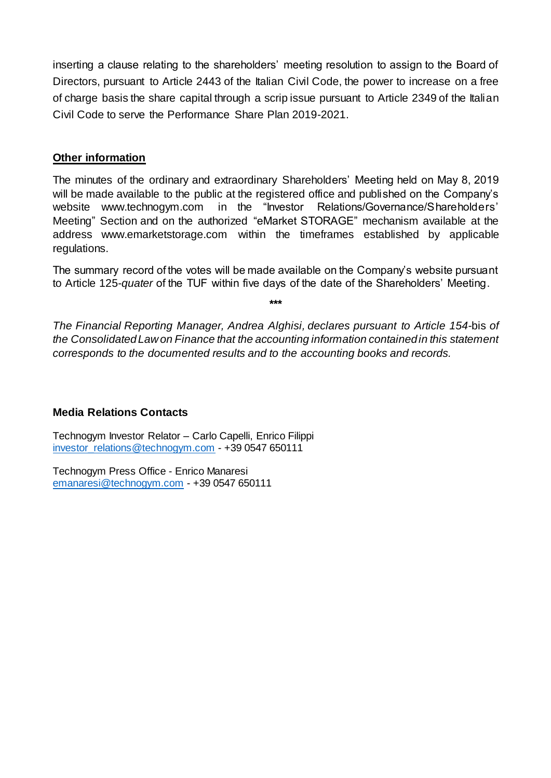inserting a clause relating to the shareholders' meeting resolution to assign to the Board of Directors, pursuant to Article 2443 of the Italian Civil Code, the power to increase on a free of charge basis the share capital through a scrip issue pursuant to Article 2349 of the Italian Civil Code to serve the Performance Share Plan 2019-2021.

### **Other information**

The minutes of the ordinary and extraordinary Shareholders' Meeting held on May 8, 2019 will be made available to the public at the registered office and published on the Company's website www.technogym.com in the "Investor Relations/Governance/Shareholders' Meeting" Section and on the authorized "eMarket STORAGE" mechanism available at the address www.emarketstorage.com within the timeframes established by applicable regulations.

The summary record of the votes will be made available on the Company's website pursuant to Article 125-*quater* of the TUF within five days of the date of the Shareholders' Meeting.

**\*\*\***

*The Financial Reporting Manager, Andrea Alghisi, declares pursuant to Article 154-*bis *of the Consolidated Law on Finance that the accounting information contained in this statement corresponds to the documented results and to the accounting books and records.*

## **Media Relations Contacts**

Technogym Investor Relator – Carlo Capelli, Enrico Filippi [investor\\_relations@technogym.com](mailto:investor_relations@technogym.com) - +39 0547 650111

Technogym Press Office - Enrico Manaresi [emanaresi@technogym.com](mailto:emanaresi@technogym.com) - +39 0547 650111